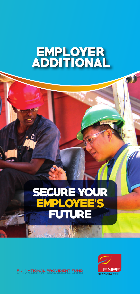# **EMPLOYER<br>ADDITIONAL**

## **SECURE YOUR EMPLOYEE'S** EUIURE